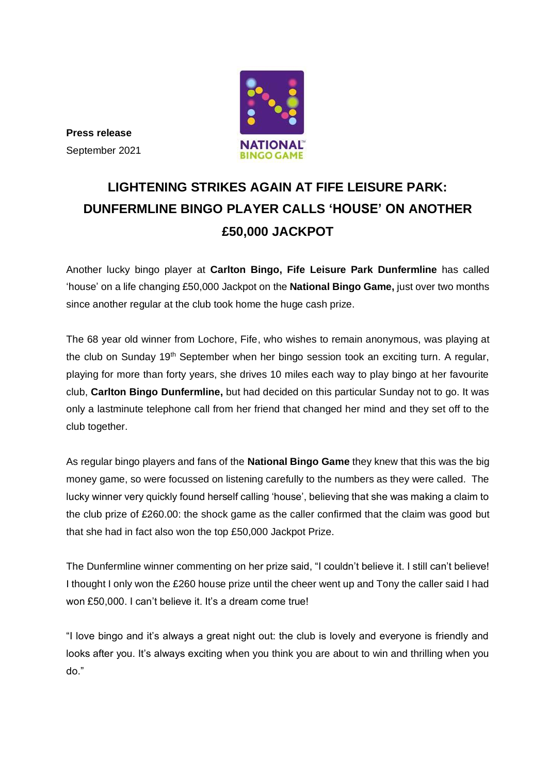

**Press release** September 2021

# **LIGHTENING STRIKES AGAIN AT FIFE LEISURE PARK: DUNFERMLINE BINGO PLAYER CALLS 'HOUSE' ON ANOTHER £50,000 JACKPOT**

Another lucky bingo player at **Carlton Bingo, Fife Leisure Park Dunfermline** has called 'house' on a life changing £50,000 Jackpot on the **National Bingo Game,** just over two months since another regular at the club took home the huge cash prize.

The 68 year old winner from Lochore, Fife, who wishes to remain anonymous, was playing at the club on Sunday 19<sup>th</sup> September when her bingo session took an exciting turn. A regular, playing for more than forty years, she drives 10 miles each way to play bingo at her favourite club, **Carlton Bingo Dunfermline,** but had decided on this particular Sunday not to go. It was only a lastminute telephone call from her friend that changed her mind and they set off to the club together.

As regular bingo players and fans of the **National Bingo Game** they knew that this was the big money game, so were focussed on listening carefully to the numbers as they were called. The lucky winner very quickly found herself calling 'house', believing that she was making a claim to the club prize of £260.00: the shock game as the caller confirmed that the claim was good but that she had in fact also won the top £50,000 Jackpot Prize.

The Dunfermline winner commenting on her prize said, "I couldn't believe it. I still can't believe! I thought I only won the £260 house prize until the cheer went up and Tony the caller said I had won £50,000. I can't believe it. It's a dream come true!

"I love bingo and it's always a great night out: the club is lovely and everyone is friendly and looks after you. It's always exciting when you think you are about to win and thrilling when you do."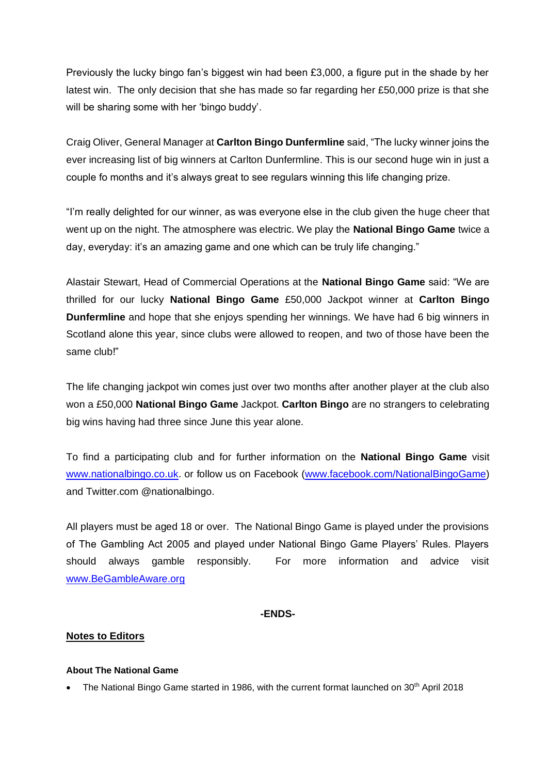Previously the lucky bingo fan's biggest win had been £3,000, a figure put in the shade by her latest win. The only decision that she has made so far regarding her £50,000 prize is that she will be sharing some with her 'bingo buddy'.

Craig Oliver, General Manager at **Carlton Bingo Dunfermline** said, "The lucky winner joins the ever increasing list of big winners at Carlton Dunfermline. This is our second huge win in just a couple fo months and it's always great to see regulars winning this life changing prize.

"I'm really delighted for our winner, as was everyone else in the club given the huge cheer that went up on the night. The atmosphere was electric. We play the **National Bingo Game** twice a day, everyday: it's an amazing game and one which can be truly life changing."

Alastair Stewart, Head of Commercial Operations at the **National Bingo Game** said: "We are thrilled for our lucky **National Bingo Game** £50,000 Jackpot winner at **Carlton Bingo Dunfermline** and hope that she enjoys spending her winnings. We have had 6 big winners in Scotland alone this year, since clubs were allowed to reopen, and two of those have been the same club!"

The life changing jackpot win comes just over two months after another player at the club also won a £50,000 **National Bingo Game** Jackpot. **Carlton Bingo** are no strangers to celebrating big wins having had three since June this year alone.

To find a participating club and for further information on the **National Bingo Game** visit [www.nationalbingo.co.uk.](http://www.nationalbingo.co.uk/) or follow us on Facebook [\(www.facebook.com/NationalBingoGame\)](http://www.facebook.com/NationalBingoGame) and Twitter.com @nationalbingo.

All players must be aged 18 or over. The National Bingo Game is played under the provisions of The Gambling Act 2005 and played under National Bingo Game Players' Rules. Players should always gamble responsibly. For more information and advice visit [www.BeGambleAware.org](http://www.begambleaware.org/)

### **-ENDS-**

### **Notes to Editors**

#### **About The National Game**

• The National Bingo Game started in 1986, with the current format launched on 30<sup>th</sup> April 2018